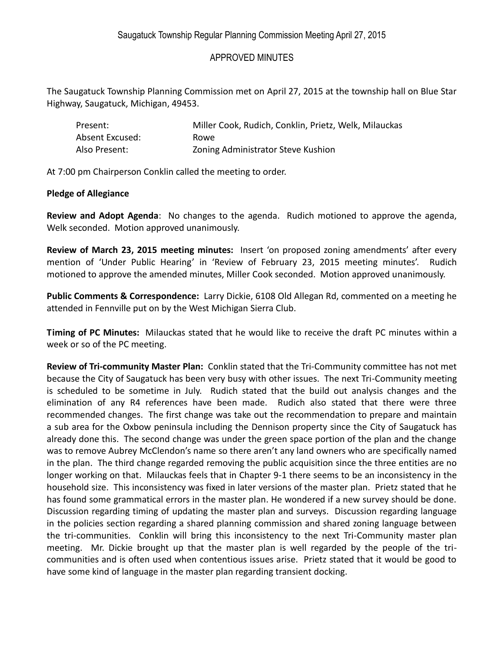## APPROVED MINUTES

The Saugatuck Township Planning Commission met on April 27, 2015 at the township hall on Blue Star Highway, Saugatuck, Michigan, 49453.

| Present:        | Miller Cook, Rudich, Conklin, Prietz, Welk, Milauckas |
|-----------------|-------------------------------------------------------|
| Absent Excused: | Rowe.                                                 |
| Also Present:   | Zoning Administrator Steve Kushion                    |

At 7:00 pm Chairperson Conklin called the meeting to order.

## **Pledge of Allegiance**

**Review and Adopt Agenda**: No changes to the agenda. Rudich motioned to approve the agenda, Welk seconded. Motion approved unanimously.

**Review of March 23, 2015 meeting minutes:** Insert 'on proposed zoning amendments' after every mention of 'Under Public Hearing' in 'Review of February 23, 2015 meeting minutes'. Rudich motioned to approve the amended minutes, Miller Cook seconded. Motion approved unanimously.

**Public Comments & Correspondence:** Larry Dickie, 6108 Old Allegan Rd, commented on a meeting he attended in Fennville put on by the West Michigan Sierra Club.

**Timing of PC Minutes:** Milauckas stated that he would like to receive the draft PC minutes within a week or so of the PC meeting.

**Review of Tri-community Master Plan:** Conklin stated that the Tri-Community committee has not met because the City of Saugatuck has been very busy with other issues. The next Tri-Community meeting is scheduled to be sometime in July. Rudich stated that the build out analysis changes and the elimination of any R4 references have been made. Rudich also stated that there were three recommended changes. The first change was take out the recommendation to prepare and maintain a sub area for the Oxbow peninsula including the Dennison property since the City of Saugatuck has already done this. The second change was under the green space portion of the plan and the change was to remove Aubrey McClendon's name so there aren't any land owners who are specifically named in the plan. The third change regarded removing the public acquisition since the three entities are no longer working on that. Milauckas feels that in Chapter 9-1 there seems to be an inconsistency in the household size. This inconsistency was fixed in later versions of the master plan. Prietz stated that he has found some grammatical errors in the master plan. He wondered if a new survey should be done. Discussion regarding timing of updating the master plan and surveys. Discussion regarding language in the policies section regarding a shared planning commission and shared zoning language between the tri-communities. Conklin will bring this inconsistency to the next Tri-Community master plan meeting. Mr. Dickie brought up that the master plan is well regarded by the people of the tricommunities and is often used when contentious issues arise. Prietz stated that it would be good to have some kind of language in the master plan regarding transient docking.